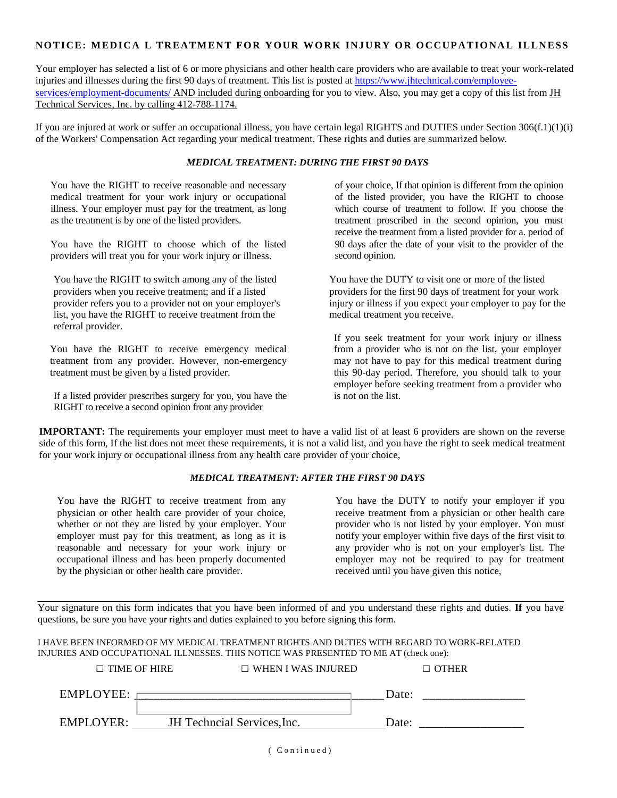## **NOTICE: MEDICA L TREATMENT FOR YOUR WORK INJURY OR OCCUPATIONAL ILLNESS**

Your employer has selected a list of 6 or more physicians and other health care providers who are available to treat your work-related injuries and illnesses during the first 90 days of treatment. This list is posted at [https://www.jhtechnical.com/employee](https://www.jhtechnical.com/employee-services/employment-documents/)services/employment-documents/ [AND included during onboarding for you to view. Also, you may get a copy of this list from JH](https://www.jhtechnical.com/employee-services/employment-documents/) Technical Services, Inc. by calling 412-788-1174.

If you are injured at work or suffer an occupational illness, you have certain legal RIGHTS and DUTIES under Section  $306(f.1)(1)(i)$ of the Workers' Compensation Act regarding your medical treatment. These rights and duties are summarized below.

## *MEDICAL TREATMENT: DURING THE FIRST 90 DAYS*

You have the RIGHT to receive reasonable and necessary medical treatment for your work injury or occupational illness. Your employer must pay for the treatment, as long as the treatment is by one of the listed providers.

You have the RIGHT to choose which of the listed providers will treat you for your work injury or illness.

You have the RIGHT to switch among any of the listed You have the DUTY to visit one or more of the listed list, you have the RIGHT to receive treatment from the medical treatment you receive. referral provider.

You have the RIGHT to receive emergency medical treatment from any provider. However, non-emergency treatment must be given by a listed provider.

If a listed provider prescribes surgery for you, you have the RIGHT to receive a second opinion front any provider

of your choice, If that opinion is different from the opinion of the listed provider, you have the RIGHT to choose which course of treatment to follow. If you choose the treatment proscribed in the second opinion, you must receive the treatment from a listed provider for a. period of 90 days after the date of your visit to the provider of the second opinion.

providers when you receive treatment; and if a listed providers for the first 90 days of treatment for your work provider refers you to a provider not on your employer's injury or illness if you expect your employer to pay for the

> If you seek treatment for your work injury or illness from a provider who is not on the list, your employer may not have to pay for this medical treatment during this 90-day period. Therefore, you should talk to your employer before seeking treatment from a provider who is not on the list.

**IMPORTANT:** The requirements your employer must meet to have a valid list of at least 6 providers are shown on the reverse side of this form, If the list does not meet these requirements, it is not a valid list, and you have the right to seek medical treatment for your work injury or occupational illness from any health care provider of your choice,

## *MEDICAL TREATMENT: AFTER THE FIRST 90 DAYS*

You have the RIGHT to receive treatment from any physician or other health care provider of your choice, whether or not they are listed by your employer. Your employer must pay for this treatment, as long as it is reasonable and necessary for your work injury or occupational illness and has been properly documented by the physician or other health care provider.

You have the DUTY to notify your employer if you receive treatment from a physician or other health care provider who is not listed by your employer. You must notify your employer within five days of the first visit to any provider who is not on your employer's list. The employer may not be required to pay for treatment received until you have given this notice,

Your signature on this form indicates that you have been informed of and you understand these rights and duties. **If** you have questions, be sure you have your rights and duties explained to you before signing this form.

I HAVE BEEN INFORMED OF MY MEDICAL TREATMENT RIGHTS AND DUTIES WITH REGARD TO WORK-RELATED INJURIES AND OCCUPATIONAL ILLNESSES. THIS NOTICE WAS PRESENTED TO ME AT (check one):

| $\Box$ TIME OF HIRE | $\Box$ WHEN I WAS INJURED   |       | $\Box$ OTHER |
|---------------------|-----------------------------|-------|--------------|
| EMPLOYEE:           |                             | Date: |              |
| EMPLOYER:           | JH Techncial Services, Inc. | Date: |              |